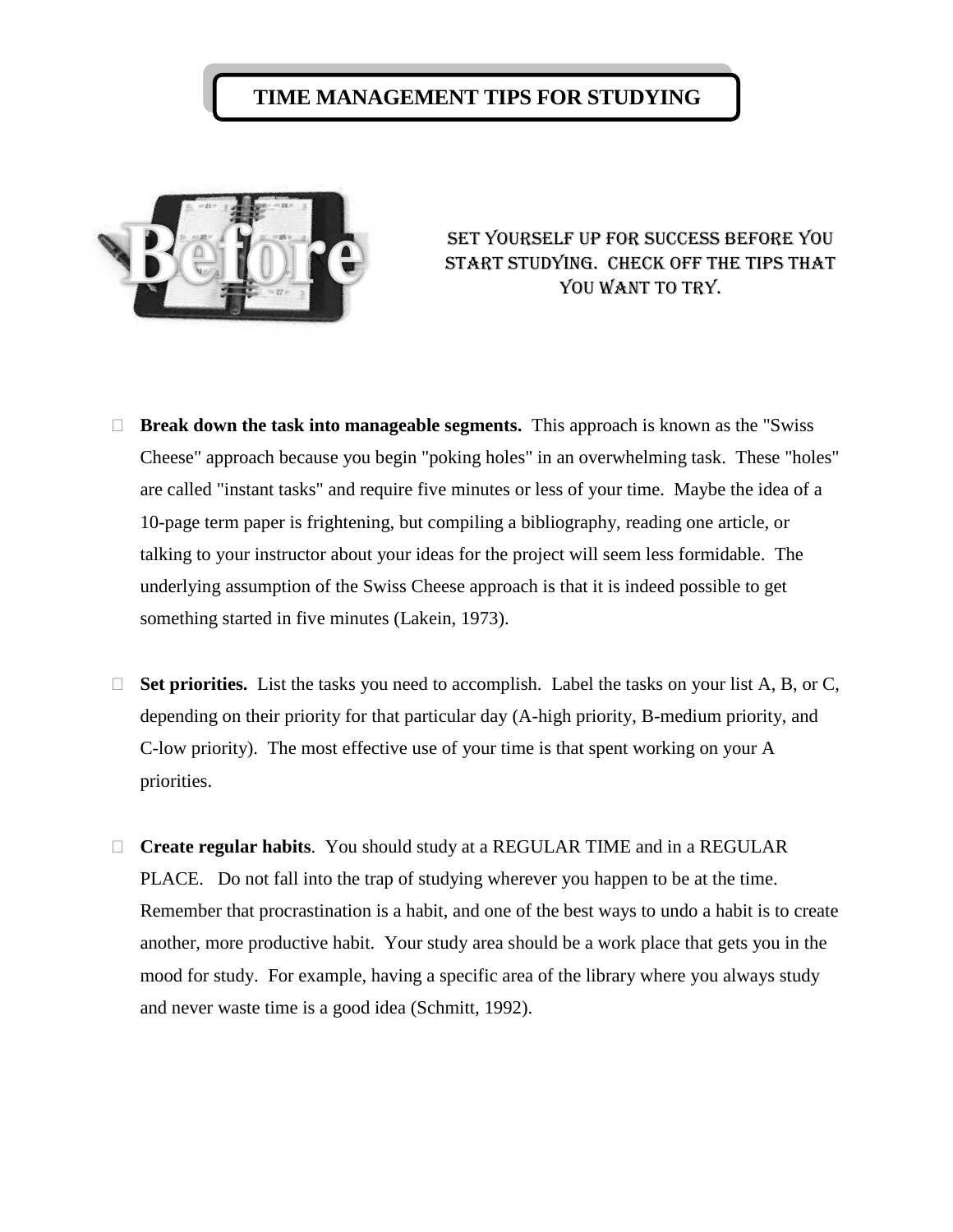## **TIME MANAGEMENT TIPS FOR STUDYING**



Set yourself up for success before you start studying. Check off the tips that YOU WANT TO TRY.

- **Break down the task into manageable segments.** This approach is known as the "Swiss Cheese" approach because you begin "poking holes" in an overwhelming task. These "holes" are called "instant tasks" and require five minutes or less of your time. Maybe the idea of a 10-page term paper is frightening, but compiling a bibliography, reading one article, or talking to your instructor about your ideas for the project will seem less formidable. The underlying assumption of the Swiss Cheese approach is that it is indeed possible to get something started in five minutes (Lakein, 1973).
- □ **Set priorities.** List the tasks you need to accomplish. Label the tasks on your list A, B, or C, depending on their priority for that particular day (A-high priority, B-medium priority, and C-low priority). The most effective use of your time is that spent working on your A priorities.
- **Create regular habits**. You should study at a REGULAR TIME and in a REGULAR PLACE. Do not fall into the trap of studying wherever you happen to be at the time. Remember that procrastination is a habit, and one of the best ways to undo a habit is to create another, more productive habit. Your study area should be a work place that gets you in the mood for study. For example, having a specific area of the library where you always study and never waste time is a good idea (Schmitt, 1992).